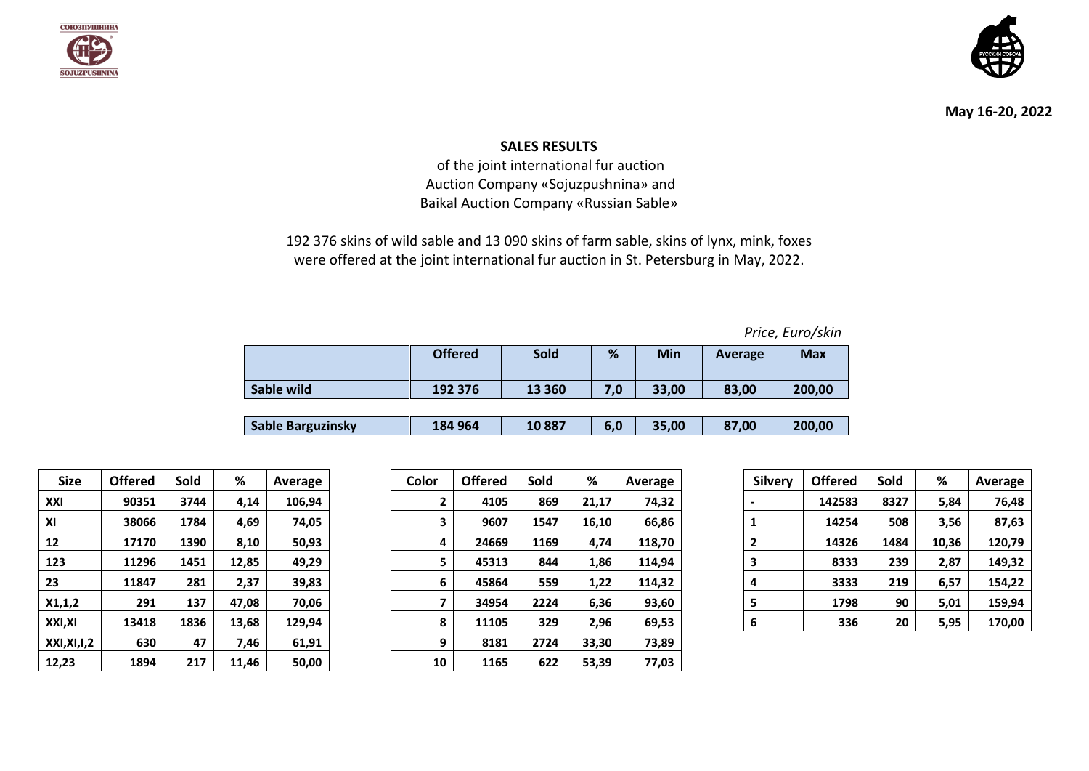



**May 16-20, 2022**

## **SALES RESULTS**

of the joint international fur auction Auction Company «Sojuzpushnina» and Baikal Auction Company «Russian Sable»

192 376 skins of wild sable and 13 090 skins of farm sable, skins of lynx, mink, foxes were offered at the joint international fur auction in St. Petersburg in May, 2022.

|                          | <b>Offered</b> | <b>Sold</b> | %   | Min   | Average | <b>Max</b> |
|--------------------------|----------------|-------------|-----|-------|---------|------------|
| Sable wild               | 192 376        | 13 3 60     | 7,0 | 33,00 | 83,00   | 200,00     |
|                          |                |             |     |       |         |            |
| <b>Sable Barguzinsky</b> | 184 964        | 10887       | 6,0 | 35,00 | 87,00   | 200,00     |

| <b>Size</b>          | <b>Offered</b> | Sold | ℅     | Average |
|----------------------|----------------|------|-------|---------|
| XXI                  | 90351          | 3744 | 4,14  | 106,94  |
| ΧI                   | 38066          | 1784 | 4,69  | 74.05   |
| 12                   | 17170          | 1390 | 8,10  | 50,93   |
| 123                  | 11296          | 1451 | 12,85 | 49,29   |
| 23                   | 11847          | 281  | 2,37  | 39,83   |
| X1,1,2               | 291            | 137  | 47,08 | 70,06   |
| XXI,XI               | 13418          | 1836 | 13,68 | 129,94  |
| <b>XXI, XI, I, 2</b> | 630            | 47   | 7,46  | 61,91   |
| 12.23                | 1894           | 217  | 11.46 | 50.00   |

| <b>Size</b> | <b>Offered</b> | Sold | %     | Average | Color | <b>Offered</b> | Sold | %     | Average | <b>Silvery</b> | <b>Offered</b> | Sold | %     | Average |
|-------------|----------------|------|-------|---------|-------|----------------|------|-------|---------|----------------|----------------|------|-------|---------|
| XXI         | 90351          | 3744 | 4,14  | 106,94  | 2     | 4105           | 869  | 21,17 | 74,32   |                | 142583         | 8327 | 5,84  | 76,48   |
| ΧI          | 38066          | 1784 | 4,69  | 74,05   |       | 9607           | 1547 | 16,10 | 66,86   |                | 14254          | 508  | 3,56  | 87,63   |
| 12          | 17170          | 1390 | 8,10  | 50,93   | 4     | 24669          | 1169 | 4,74  | 118,70  |                | 14326          | 1484 | 10,36 | 120,79  |
| 123         | 11296          | 1451 | 12,85 | 49,29   | 5     | 45313          | 844  | 1,86  | 114,94  |                | 8333           | 239  | 2,87  | 149,32  |
| 23          | 11847          | 281  | 2,37  | 39,83   | 6     | 45864          | 559  | 1,22  | 114,32  |                | 3333           | 219  | 6,57  | 154,22  |
| X1,1,2      | 291            | 137  | 47,08 | 70,06   |       | 34954          | 2224 | 6,36  | 93,60   |                | 1798           | 90   | 5,01  | 159,94  |
| XXI,XI      | 13418          | 1836 | 13,68 | 129,94  | 8     | 11105          | 329  | 2,96  | 69,53   |                | 336            | 20   | 5,95  | 170,00  |
| XXI,XI,I,2  | 630            | 47   | 7,46  | 61,91   | 9     | 8181           | 2724 | 33,30 | 73,89   |                |                |      |       |         |
| 12,23       | 1894           | 217  | 11,46 | 50,00   | 10    | 1165           | 622  | 53,39 | 77,03   |                |                |      |       |         |

| <b>Silvery</b> | <b>Offered</b> | Sold | ℅     | <b>Average</b> |
|----------------|----------------|------|-------|----------------|
|                | 142583         | 8327 | 5,84  | 76,48          |
| 1              | 14254          | 508  | 3,56  | 87,63          |
| 2              | 14326          | 1484 | 10,36 | 120,79         |
| 3              | 8333           | 239  | 2,87  | 149,32         |
| 4              | 3333           | 219  | 6,57  | 154,22         |
| 5              | 1798           | 90   | 5,01  | 159,94         |
| 6              | 336            | 20   | 5,95  | 170,00         |

*Price, Euro/skin*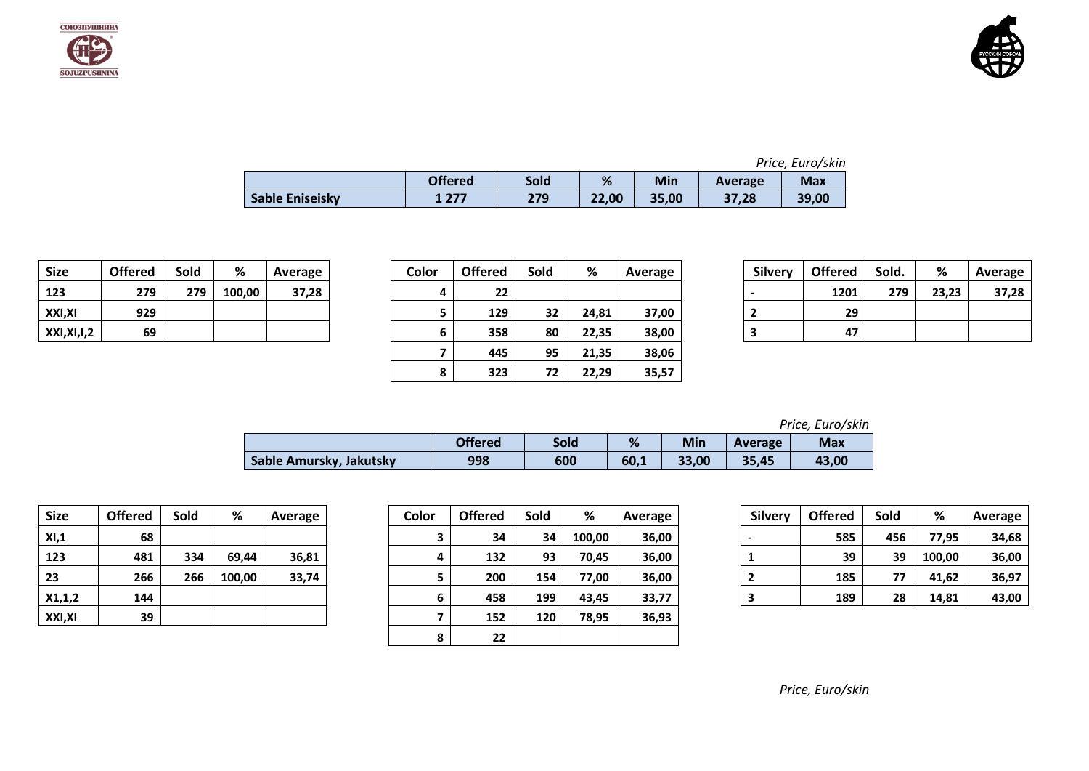



|                 | <b>Offered</b> | Sold | %     | Min   | Average | <b>Max</b> |
|-----------------|----------------|------|-------|-------|---------|------------|
| Sable Eniseisky | 277            | 279  | 22,00 | 35,00 | 37,28   | 39,00      |

| <b>Size</b> | <b>Offered</b> | Sold | %      | Average |
|-------------|----------------|------|--------|---------|
| 123         | 279            | 279  | 100,00 | 37,28   |
| XXI,XI      | 929            |      |        |         |
| XXI,XI,I,2  | 69             |      |        |         |

| <b>Size</b> | <b>Offered</b> | Sold | %      | Average | Color | <b>Offered</b> | Sold | %     | Average | <b>Silvery</b> | <b>Offered</b> | Sold. | %     | Average |
|-------------|----------------|------|--------|---------|-------|----------------|------|-------|---------|----------------|----------------|-------|-------|---------|
| 123         | 279            | 279  | 100,00 | 37,28   | 4     | 22             |      |       |         |                | 1201           | 279   | 23,23 | 37,28   |
| XXI,XI      | 929            |      |        |         |       | 129            | 32   | 24,81 | 37,00   |                | 29             |       |       |         |
| XXI,XI,I,2  | 69             |      |        |         | 6     | 358            | 80   | 22,35 | 38,00   |                | 47             |       |       |         |
|             |                |      |        |         |       | 445            | 95   | 21,35 | 38,06   |                |                |       |       |         |
|             |                |      |        |         | 8     | 323            | 72   | 22,29 | 35,57   |                |                |       |       |         |

| <b>Silvery</b> | <b>Offered</b> | Sold. | %     | Average |
|----------------|----------------|-------|-------|---------|
|                | 1201           | 279   | 23,23 | 37,28   |
|                | 29             |       |       |         |
|                | 47             |       |       |         |

*Price, Euro/skin*

|                         | <b>Offered</b> | Sold | %    | Min   | Average | <b>Max</b> |
|-------------------------|----------------|------|------|-------|---------|------------|
| Sable Amursky, Jakutsky | 998            | 600  | 60,1 | 33,00 | 35,45   | 43,00      |

| <b>Size</b> | <b>Offered</b> | Sold | %      | Average |
|-------------|----------------|------|--------|---------|
| XI, 1       | 68             |      |        |         |
| 123         | 481            | 334  | 69,44  | 36,81   |
| 23          | 266            | 266  | 100,00 | 33,74   |
| X1, 1, 2    | 144            |      |        |         |
| XXI,XI      | 39             |      |        |         |

| <b>Size</b> | <b>Offered</b> | Sold | %      | Average | Color | <b>Offered</b> | Sold | %      | Average | <b>Silvery</b> | <b>Offered</b> | Sold | %      | Average |
|-------------|----------------|------|--------|---------|-------|----------------|------|--------|---------|----------------|----------------|------|--------|---------|
| XI,1        | 68             |      |        |         |       | 34             | 34   | 100,00 | 36,00   |                | 585            | 456  | 77,95  | 34,68   |
| 123         | 481            | 334  | 69,44  | 36,81   |       | 132            | 93   | 70,45  | 36,00   |                | 39             | 39   | 100,00 | 36,00   |
| 23          | 266            | 266  | 100,00 | 33,74   |       | 200            | 154  | 77.00  | 36,00   |                | 185            | 77   | 41,62  | 36,97   |
| X1,1,2      | 144            |      |        |         | 6     | 458            | 199  | 43,45  | 33,77   |                | 189            | 28   | 14,81  | 43,00   |
| XXI,XI      | 39             |      |        |         |       | 152            | 120  | 78,95  | 36,93   |                |                |      |        |         |
|             |                |      |        |         |       | 22             |      |        |         |                |                |      |        |         |

| <b>Silvery</b> | <b>Offered</b> | Sold | ℅      | Average |
|----------------|----------------|------|--------|---------|
|                | 585            | 456  | 77,95  | 34,68   |
| 1              | 39             | 39   | 100,00 | 36,00   |
| 2              | 185            | 77   | 41,62  | 36,97   |
| 3              | 189            | 28   | 14,81  | 43,00   |